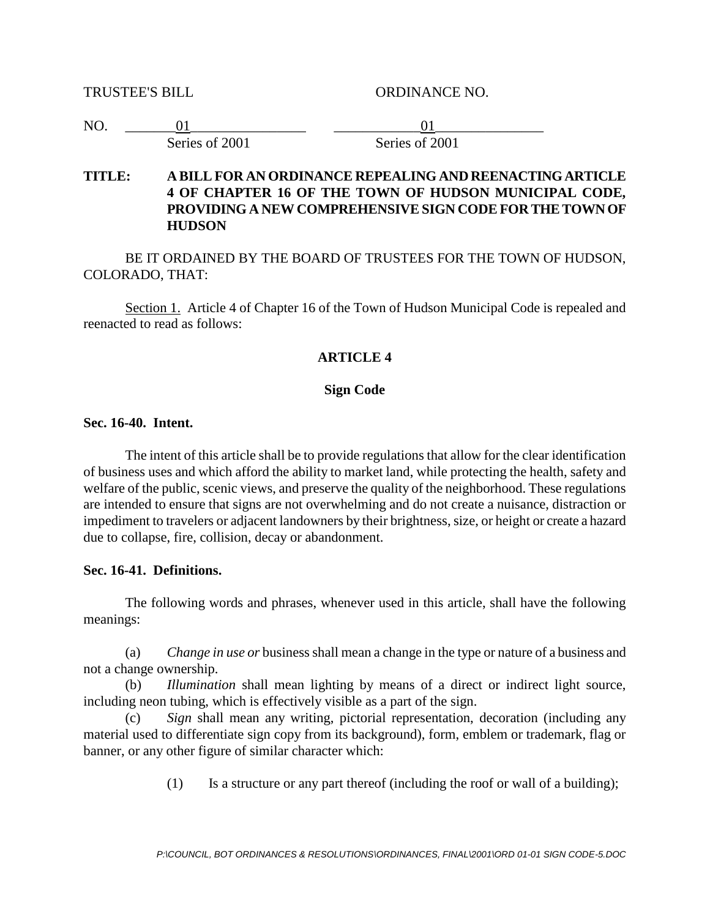TRUSTEE'S BILL ORDINANCE NO.

| N <sub>O</sub> |                |                |  |
|----------------|----------------|----------------|--|
|                | Series of 2001 | Series of 2001 |  |

### **TITLE: A BILL FOR AN ORDINANCE REPEALING AND REENACTING ARTICLE 4 OF CHAPTER 16 OF THE TOWN OF HUDSON MUNICIPAL CODE, PROVIDING A NEW COMPREHENSIVE SIGN CODE FOR THE TOWN OF HUDSON**

BE IT ORDAINED BY THE BOARD OF TRUSTEES FOR THE TOWN OF HUDSON, COLORADO, THAT:

Section 1. Article 4 of Chapter 16 of the Town of Hudson Municipal Code is repealed and reenacted to read as follows:

### **ARTICLE 4**

### **Sign Code**

# **Sec. 16-40. Intent.**

The intent of this article shall be to provide regulations that allow for the clear identification of business uses and which afford the ability to market land, while protecting the health, safety and welfare of the public, scenic views, and preserve the quality of the neighborhood. These regulations are intended to ensure that signs are not overwhelming and do not create a nuisance, distraction or impediment to travelers or adjacent landowners by their brightness, size, or height or create a hazard due to collapse, fire, collision, decay or abandonment.

### **Sec. 16-41. Definitions.**

The following words and phrases, whenever used in this article, shall have the following meanings:

(a) *Change in use or* business shall mean a change in the type or nature of a business and not a change ownership.

(b) *Illumination* shall mean lighting by means of a direct or indirect light source, including neon tubing, which is effectively visible as a part of the sign.

(c) *Sign* shall mean any writing, pictorial representation, decoration (including any material used to differentiate sign copy from its background), form, emblem or trademark, flag or banner, or any other figure of similar character which:

(1) Is a structure or any part thereof (including the roof or wall of a building);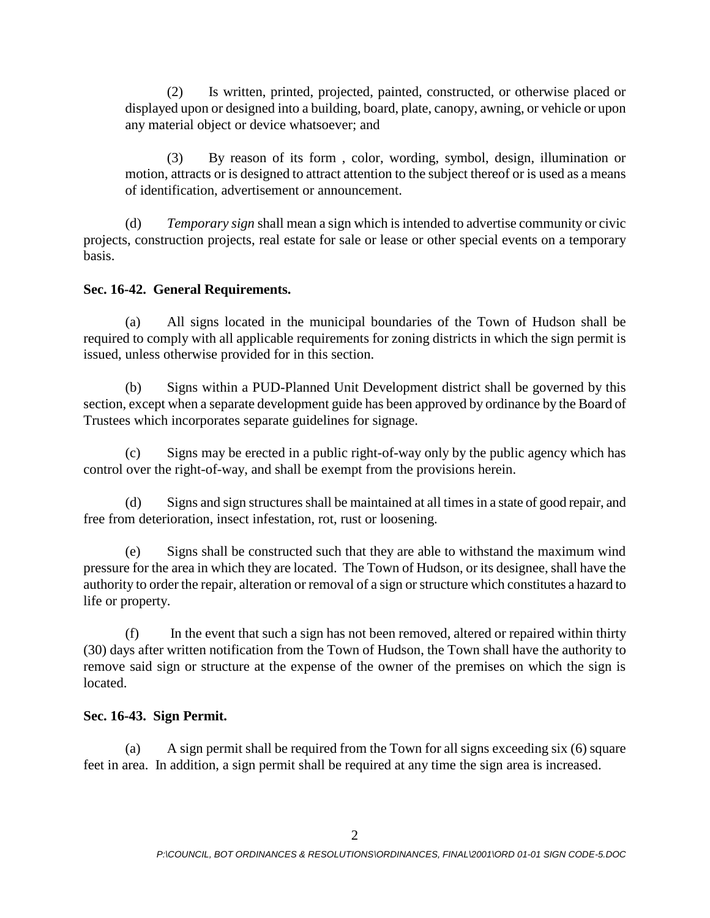(2) Is written, printed, projected, painted, constructed, or otherwise placed or displayed upon or designed into a building, board, plate, canopy, awning, or vehicle or upon any material object or device whatsoever; and

(3) By reason of its form , color, wording, symbol, design, illumination or motion, attracts or is designed to attract attention to the subject thereof or is used as a means of identification, advertisement or announcement.

(d) *Temporary sign* shall mean a sign which is intended to advertise community or civic projects, construction projects, real estate for sale or lease or other special events on a temporary basis.

### **Sec. 16-42. General Requirements.**

(a) All signs located in the municipal boundaries of the Town of Hudson shall be required to comply with all applicable requirements for zoning districts in which the sign permit is issued, unless otherwise provided for in this section.

(b) Signs within a PUD-Planned Unit Development district shall be governed by this section, except when a separate development guide has been approved by ordinance by the Board of Trustees which incorporates separate guidelines for signage.

(c) Signs may be erected in a public right-of-way only by the public agency which has control over the right-of-way, and shall be exempt from the provisions herein.

(d) Signs and sign structures shall be maintained at all times in a state of good repair, and free from deterioration, insect infestation, rot, rust or loosening.

(e) Signs shall be constructed such that they are able to withstand the maximum wind pressure for the area in which they are located. The Town of Hudson, or its designee, shall have the authority to order the repair, alteration or removal of a sign or structure which constitutes a hazard to life or property.

(f) In the event that such a sign has not been removed, altered or repaired within thirty (30) days after written notification from the Town of Hudson, the Town shall have the authority to remove said sign or structure at the expense of the owner of the premises on which the sign is located.

### **Sec. 16-43. Sign Permit.**

(a) A sign permit shall be required from the Town for all signs exceeding six (6) square feet in area. In addition, a sign permit shall be required at any time the sign area is increased.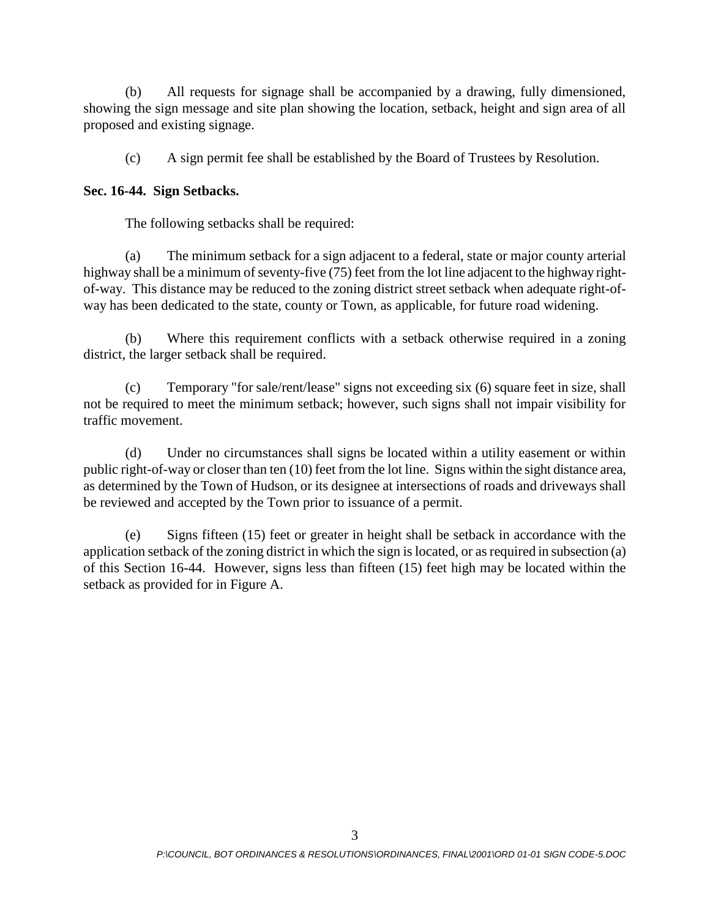(b) All requests for signage shall be accompanied by a drawing, fully dimensioned, showing the sign message and site plan showing the location, setback, height and sign area of all proposed and existing signage.

(c) A sign permit fee shall be established by the Board of Trustees by Resolution.

### **Sec. 16-44. Sign Setbacks.**

The following setbacks shall be required:

(a) The minimum setback for a sign adjacent to a federal, state or major county arterial highway shall be a minimum of seventy-five (75) feet from the lot line adjacent to the highway rightof-way. This distance may be reduced to the zoning district street setback when adequate right-ofway has been dedicated to the state, county or Town, as applicable, for future road widening.

(b) Where this requirement conflicts with a setback otherwise required in a zoning district, the larger setback shall be required.

(c) Temporary "for sale/rent/lease" signs not exceeding six (6) square feet in size, shall not be required to meet the minimum setback; however, such signs shall not impair visibility for traffic movement.

(d) Under no circumstances shall signs be located within a utility easement or within public right-of-way or closer than ten (10) feet from the lot line. Signs within the sight distance area, as determined by the Town of Hudson, or its designee at intersections of roads and driveways shall be reviewed and accepted by the Town prior to issuance of a permit.

(e) Signs fifteen (15) feet or greater in height shall be setback in accordance with the application setback of the zoning district in which the sign is located, or as required in subsection (a) of this Section 16-44. However, signs less than fifteen (15) feet high may be located within the setback as provided for in Figure A.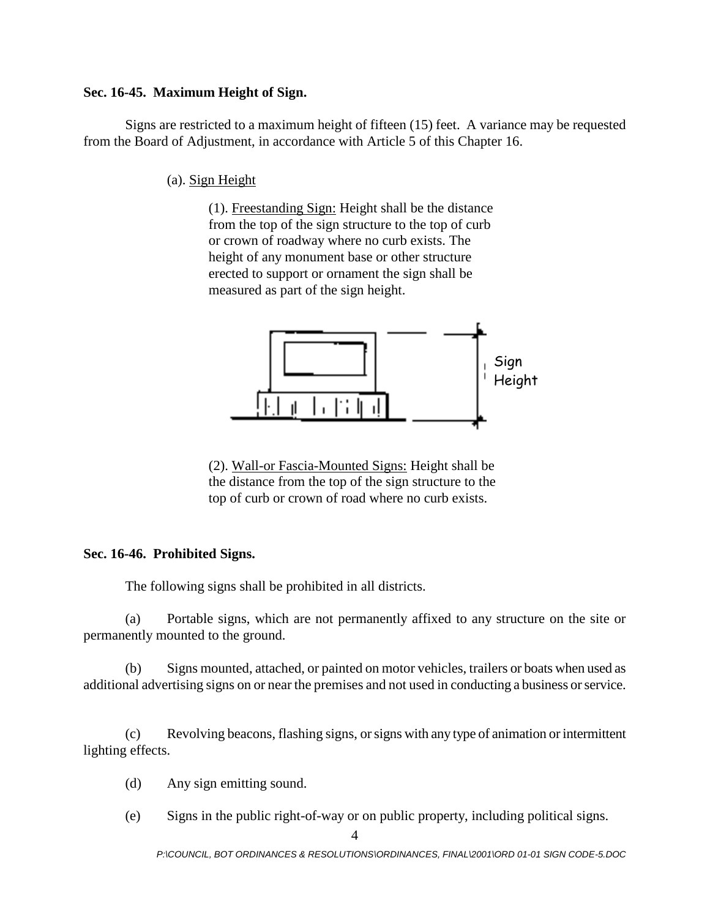#### **Sec. 16-45. Maximum Height of Sign.**

Signs are restricted to a maximum height of fifteen (15) feet. A variance may be requested from the Board of Adjustment, in accordance with Article 5 of this Chapter 16.

(a). Sign Height

(1). Freestanding Sign: Height shall be the distance from the top of the sign structure to the top of curb or crown of roadway where no curb exists. The height of any monument base or other structure erected to support or ornament the sign shall be measured as part of the sign height.



(2). Wall-or Fascia-Mounted Signs: Height shall be the distance from the top of the sign structure to the top of curb or crown of road where no curb exists.

### **Sec. 16-46. Prohibited Signs.**

The following signs shall be prohibited in all districts.

(a) Portable signs, which are not permanently affixed to any structure on the site or permanently mounted to the ground.

(b) Signs mounted, attached, or painted on motor vehicles, trailers or boats when used as additional advertising signs on or near the premises and not used in conducting a business or service.

(c) Revolving beacons, flashing signs, or signs with any type of animation or intermittent lighting effects.

- (d) Any sign emitting sound.
- (e) Signs in the public right-of-way or on public property, including political signs.

*P:\COUNCIL, BOT ORDINANCES & RESOLUTIONS\ORDINANCES, FINAL\2001\ORD 01-01 SIGN CODE-5.DOC*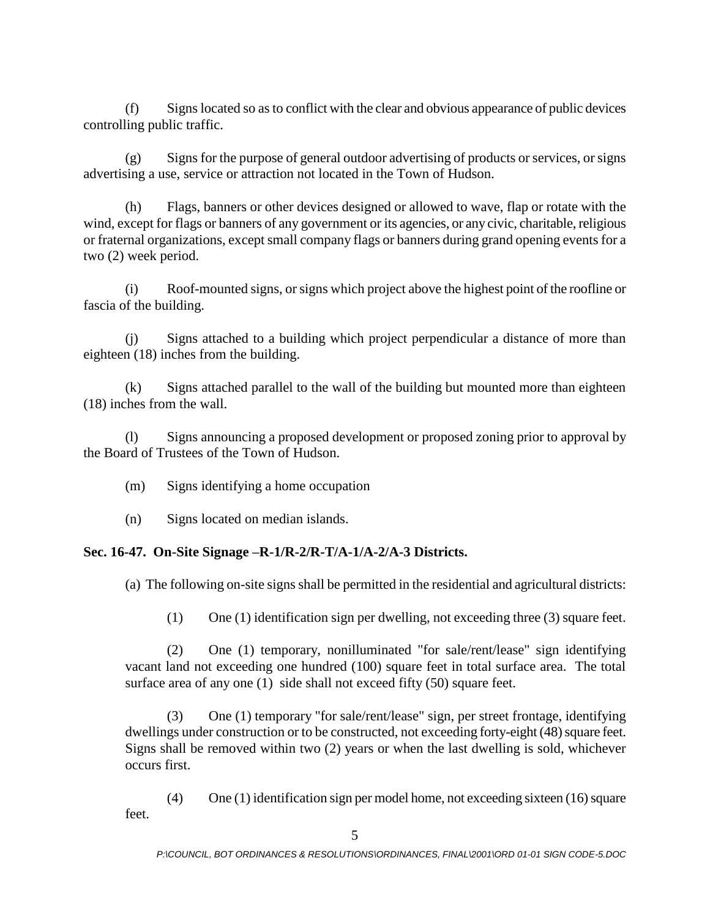(f) Signs located so as to conflict with the clear and obvious appearance of public devices controlling public traffic.

(g) Signs for the purpose of general outdoor advertising of products or services, or signs advertising a use, service or attraction not located in the Town of Hudson.

(h) Flags, banners or other devices designed or allowed to wave, flap or rotate with the wind, except for flags or banners of any government or its agencies, or any civic, charitable, religious or fraternal organizations, except small company flags or banners during grand opening events for a two (2) week period.

(i) Roof-mounted signs, or signs which project above the highest point of the roofline or fascia of the building.

(j) Signs attached to a building which project perpendicular a distance of more than eighteen (18) inches from the building.

(k) Signs attached parallel to the wall of the building but mounted more than eighteen (18) inches from the wall.

(l) Signs announcing a proposed development or proposed zoning prior to approval by the Board of Trustees of the Town of Hudson.

- (m) Signs identifying a home occupation
- (n) Signs located on median islands.

# **Sec. 16-47. On-Site Signage –R-1/R-2/R-T/A-1/A-2/A-3 Districts.**

(a) The following on-site signs shall be permitted in the residential and agricultural districts:

(1) One (1) identification sign per dwelling, not exceeding three (3) square feet.

(2) One (1) temporary, nonilluminated "for sale/rent/lease" sign identifying vacant land not exceeding one hundred (100) square feet in total surface area. The total surface area of any one (1) side shall not exceed fifty (50) square feet.

(3) One (1) temporary "for sale/rent/lease" sign, per street frontage, identifying dwellings under construction or to be constructed, not exceeding forty-eight (48) square feet. Signs shall be removed within two (2) years or when the last dwelling is sold, whichever occurs first.

(4) One (1) identification sign per model home, not exceeding sixteen (16) square feet.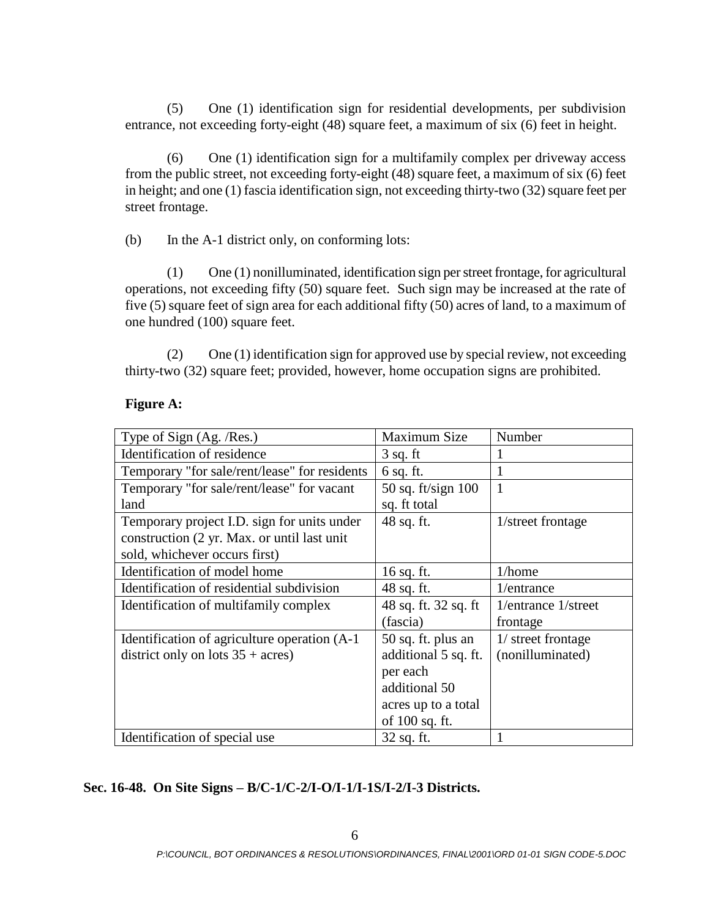(5) One (1) identification sign for residential developments, per subdivision entrance, not exceeding forty-eight (48) square feet, a maximum of six (6) feet in height.

(6) One (1) identification sign for a multifamily complex per driveway access from the public street, not exceeding forty-eight (48) square feet, a maximum of six (6) feet in height; and one (1) fascia identification sign, not exceeding thirty-two (32) square feet per street frontage.

(b) In the A-1 district only, on conforming lots:

(1) One (1) nonilluminated, identification sign per street frontage, for agricultural operations, not exceeding fifty (50) square feet. Such sign may be increased at the rate of five (5) square feet of sign area for each additional fifty (50) acres of land, to a maximum of one hundred (100) square feet.

(2) One (1) identification sign for approved use by special review, not exceeding thirty-two (32) square feet; provided, however, home occupation signs are prohibited.

# **Figure A:**

| Type of Sign (Ag. /Res.)                      | Maximum Size         | Number              |
|-----------------------------------------------|----------------------|---------------------|
| Identification of residence                   | $3$ sq. ft           |                     |
| Temporary "for sale/rent/lease" for residents | $6$ sq. ft.          |                     |
| Temporary "for sale/rent/lease" for vacant    | 50 sq. ft/sign $100$ | 1                   |
| land                                          | sq. ft total         |                     |
| Temporary project I.D. sign for units under   | 48 sq. ft.           | 1/street frontage   |
| construction (2 yr. Max. or until last unit   |                      |                     |
| sold, whichever occurs first)                 |                      |                     |
| Identification of model home                  | $16$ sq. ft.         | 1/home              |
| Identification of residential subdivision     | 48 sq. ft.           | 1/entrance          |
| Identification of multifamily complex         | 48 sq. ft. 32 sq. ft | 1/entrance 1/street |
|                                               | (fascia)             | frontage            |
| Identification of agriculture operation (A-1) | $50$ sq. ft. plus an | 1/ street frontage  |
| district only on lots $35 + \text{acres}$ )   | additional 5 sq. ft. | (nonilluminated)    |
|                                               | per each             |                     |
|                                               | additional 50        |                     |
|                                               | acres up to a total  |                     |
|                                               | of 100 sq. ft.       |                     |
| Identification of special use                 | 32 sq. ft.           |                     |

# **Sec. 16-48. On Site Signs – B/C-1/C-2/I-O/I-1/I-1S/I-2/I-3 Districts.**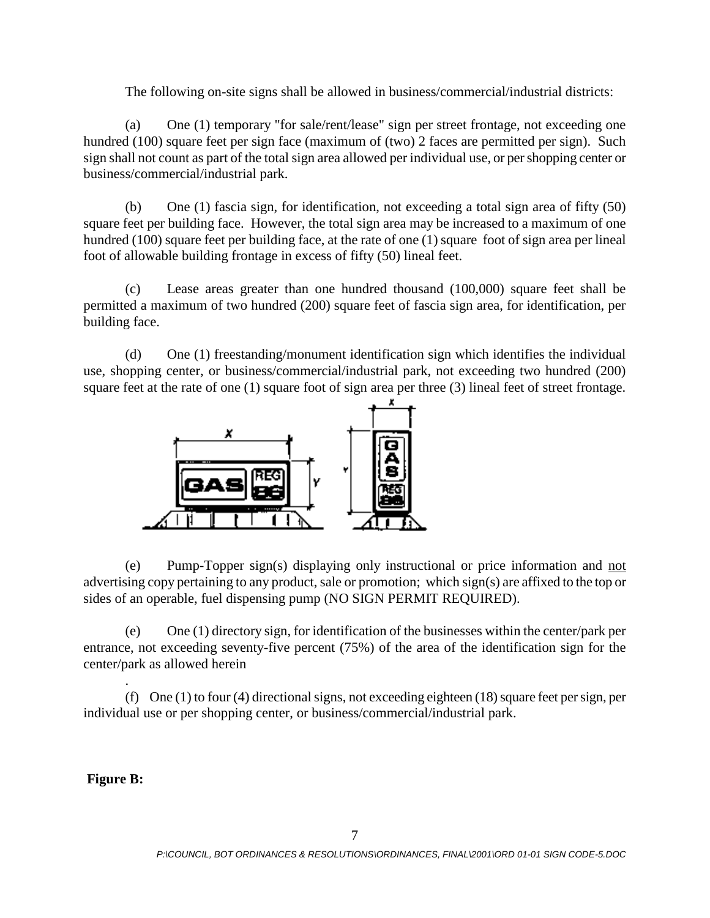The following on-site signs shall be allowed in business/commercial/industrial districts:

(a) One (1) temporary "for sale/rent/lease" sign per street frontage, not exceeding one hundred (100) square feet per sign face (maximum of (two) 2 faces are permitted per sign). Such sign shall not count as part of the total sign area allowed per individual use, or per shopping center or business/commercial/industrial park.

(b) One (1) fascia sign, for identification, not exceeding a total sign area of fifty (50) square feet per building face. However, the total sign area may be increased to a maximum of one hundred (100) square feet per building face, at the rate of one (1) square foot of sign area per lineal foot of allowable building frontage in excess of fifty (50) lineal feet.

(c) Lease areas greater than one hundred thousand (100,000) square feet shall be permitted a maximum of two hundred (200) square feet of fascia sign area, for identification, per building face.

(d) One (1) freestanding/monument identification sign which identifies the individual use, shopping center, or business/commercial/industrial park, not exceeding two hundred (200) square feet at the rate of one (1) square foot of sign area per three (3) lineal feet of street frontage.



(e) Pump-Topper sign(s) displaying only instructional or price information and not advertising copy pertaining to any product, sale or promotion; which sign(s) are affixed to the top or sides of an operable, fuel dispensing pump (NO SIGN PERMIT REQUIRED).

(e) One (1) directory sign, for identification of the businesses within the center/park per entrance, not exceeding seventy-five percent (75%) of the area of the identification sign for the center/park as allowed herein

(f) One (1) to four (4) directional signs, not exceeding eighteen (18) square feet per sign, per individual use or per shopping center, or business/commercial/industrial park.

**Figure B:**

.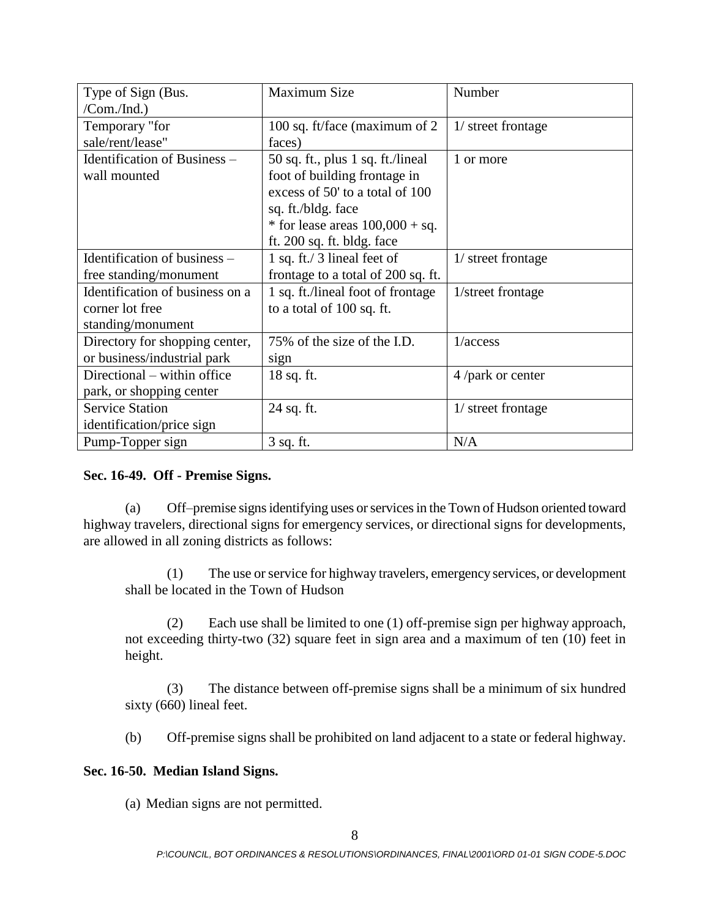| Type of Sign (Bus.              | Maximum Size                       | Number             |
|---------------------------------|------------------------------------|--------------------|
| $/Com. /Ind.$ )                 |                                    |                    |
| Temporary "for                  | 100 sq. ft/face (maximum of 2      | 1/ street frontage |
| sale/rent/lease"                | faces)                             |                    |
| Identification of Business -    | 50 sq. ft., plus 1 sq. ft./lineal  | 1 or more          |
| wall mounted                    | foot of building frontage in       |                    |
|                                 | excess of 50' to a total of 100    |                    |
|                                 | sq. ft./bldg. face                 |                    |
|                                 | * for lease areas $100,000 + sq.$  |                    |
|                                 | ft. 200 sq. ft. bldg. face         |                    |
| Identification of business –    | 1 sq. ft./ 3 lineal feet of        | 1/ street frontage |
| free standing/monument          | frontage to a total of 200 sq. ft. |                    |
| Identification of business on a | 1 sq. ft./lineal foot of frontage  | 1/street frontage  |
| corner lot free                 | to a total of 100 sq. ft.          |                    |
| standing/monument               |                                    |                    |
| Directory for shopping center,  | 75% of the size of the I.D.        | 1/access           |
| or business/industrial park     | sign                               |                    |
| Directional – within office     | 18 sq. ft.                         | 4 /park or center  |
| park, or shopping center        |                                    |                    |
| <b>Service Station</b>          | 24 sq. ft.                         | 1/ street frontage |
| identification/price sign       |                                    |                    |
| Pump-Topper sign                | 3 sq. ft.                          | N/A                |

### **Sec. 16-49. Off - Premise Signs.**

(a) Off–premise signs identifying uses or services in the Town of Hudson oriented toward highway travelers, directional signs for emergency services, or directional signs for developments, are allowed in all zoning districts as follows:

(1) The use or service for highway travelers, emergency services, or development shall be located in the Town of Hudson

(2) Each use shall be limited to one (1) off-premise sign per highway approach, not exceeding thirty-two (32) square feet in sign area and a maximum of ten (10) feet in height.

(3) The distance between off-premise signs shall be a minimum of six hundred sixty (660) lineal feet.

(b) Off-premise signs shall be prohibited on land adjacent to a state or federal highway.

# **Sec. 16-50. Median Island Signs.**

(a) Median signs are not permitted.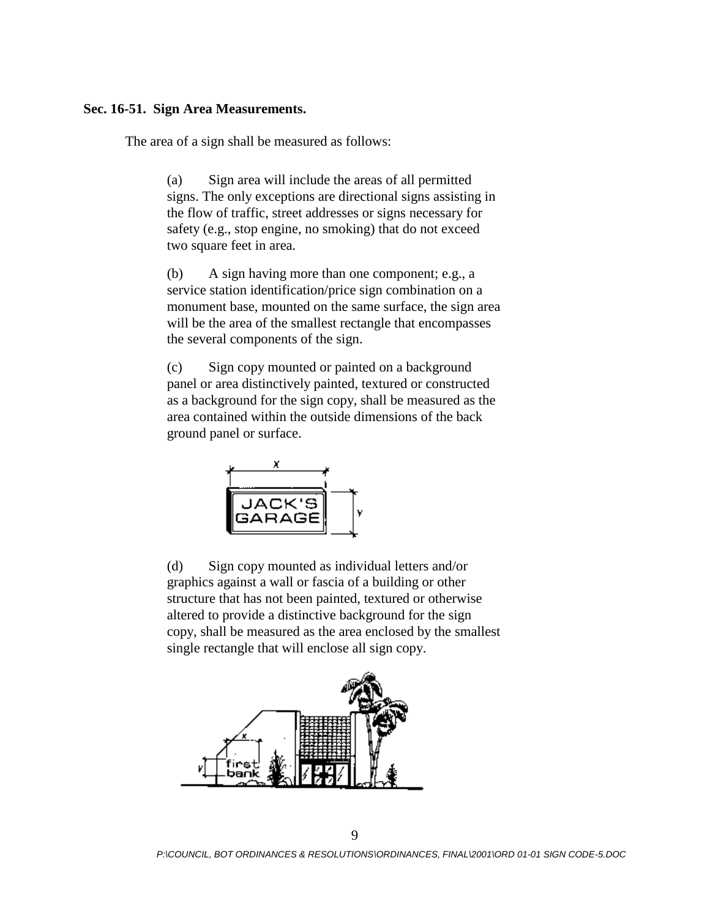#### **Sec. 16-51. Sign Area Measurements.**

The area of a sign shall be measured as follows:

(a) Sign area will include the areas of all permitted signs. The only exceptions are directional signs assisting in the flow of traffic, street addresses or signs necessary for safety (e.g., stop engine, no smoking) that do not exceed two square feet in area.

(b) A sign having more than one component; e.g., a service station identification/price sign combination on a monument base, mounted on the same surface, the sign area will be the area of the smallest rectangle that encompasses the several components of the sign.

(c) Sign copy mounted or painted on a background panel or area distinctively painted, textured or constructed as a background for the sign copy, shall be measured as the area contained within the outside dimensions of the back ground panel or surface.



(d) Sign copy mounted as individual letters and/or graphics against a wall or fascia of a building or other structure that has not been painted, textured or otherwise altered to provide a distinctive background for the sign copy, shall be measured as the area enclosed by the smallest single rectangle that will enclose all sign copy.

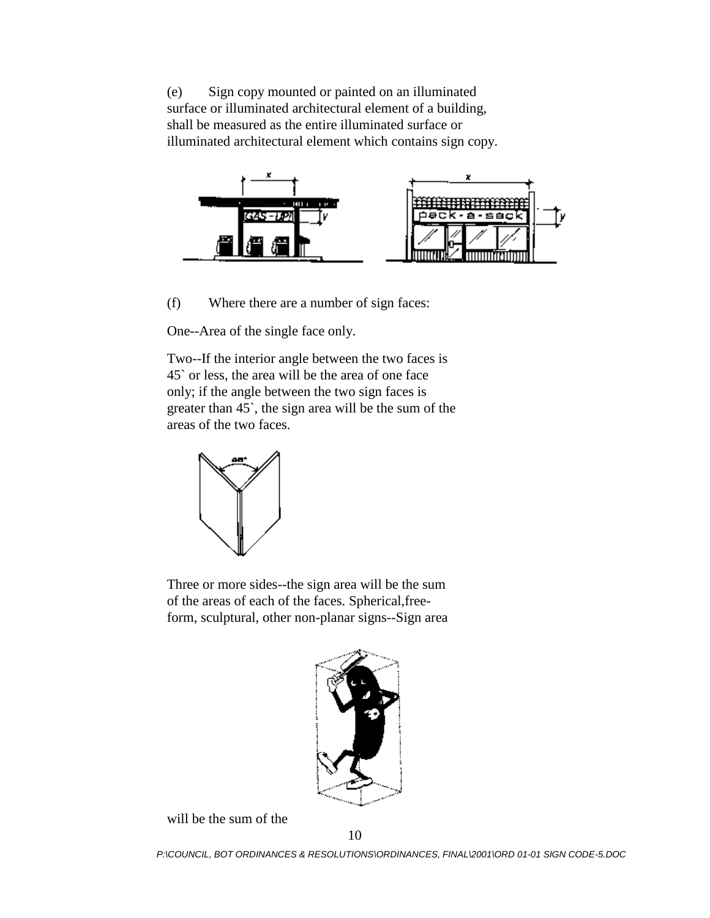(e) Sign copy mounted or painted on an illuminated surface or illuminated architectural element of a building, shall be measured as the entire illuminated surface or illuminated architectural element which contains sign copy.



(f) Where there are a number of sign faces:

One--Area of the single face only.

Two--If the interior angle between the two faces is 45` or less, the area will be the area of one face only; if the angle between the two sign faces is greater than 45`, the sign area will be the sum of the areas of the two faces.



Three or more sides--the sign area will be the sum of the areas of each of the faces. Spherical,freeform, sculptural, other non-planar signs--Sign area



will be the sum of the

*P:\COUNCIL, BOT ORDINANCES & RESOLUTIONS\ORDINANCES, FINAL\2001\ORD 01-01 SIGN CODE-5.DOC*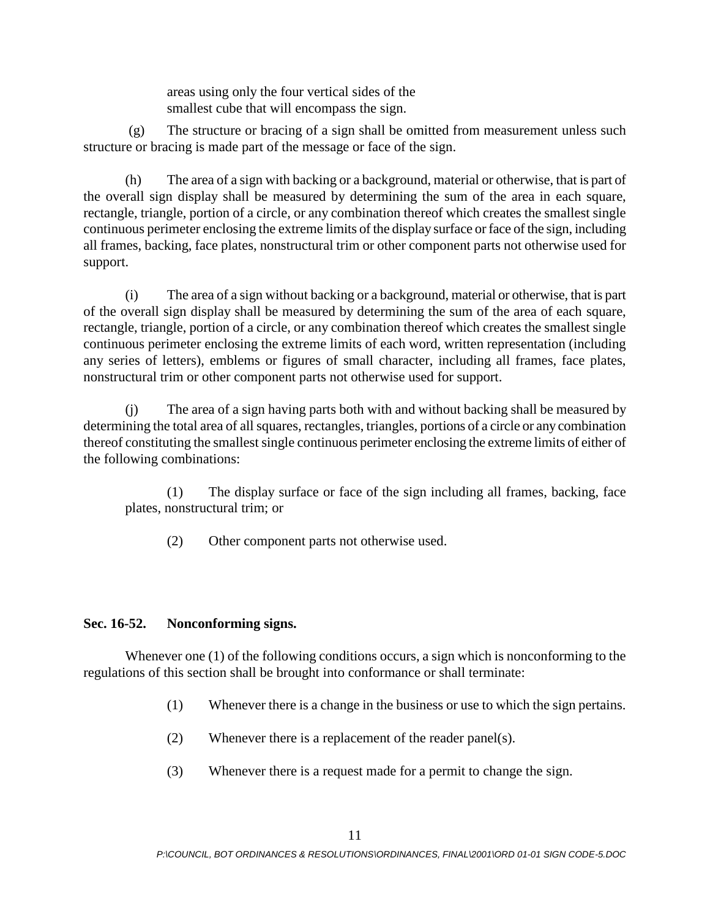areas using only the four vertical sides of the smallest cube that will encompass the sign.

(g) The structure or bracing of a sign shall be omitted from measurement unless such structure or bracing is made part of the message or face of the sign.

(h) The area of a sign with backing or a background, material or otherwise, that is part of the overall sign display shall be measured by determining the sum of the area in each square, rectangle, triangle, portion of a circle, or any combination thereof which creates the smallest single continuous perimeter enclosing the extreme limits of the display surface or face of the sign, including all frames, backing, face plates, nonstructural trim or other component parts not otherwise used for support.

(i) The area of a sign without backing or a background, material or otherwise, that is part of the overall sign display shall be measured by determining the sum of the area of each square, rectangle, triangle, portion of a circle, or any combination thereof which creates the smallest single continuous perimeter enclosing the extreme limits of each word, written representation (including any series of letters), emblems or figures of small character, including all frames, face plates, nonstructural trim or other component parts not otherwise used for support.

(j) The area of a sign having parts both with and without backing shall be measured by determining the total area of all squares, rectangles, triangles, portions of a circle or any combination thereof constituting the smallest single continuous perimeter enclosing the extreme limits of either of the following combinations:

(1) The display surface or face of the sign including all frames, backing, face plates, nonstructural trim; or

(2) Other component parts not otherwise used.

# **Sec. 16-52. Nonconforming signs.**

Whenever one (1) of the following conditions occurs, a sign which is nonconforming to the regulations of this section shall be brought into conformance or shall terminate:

- (1) Whenever there is a change in the business or use to which the sign pertains.
- (2) Whenever there is a replacement of the reader panel(s).
- (3) Whenever there is a request made for a permit to change the sign.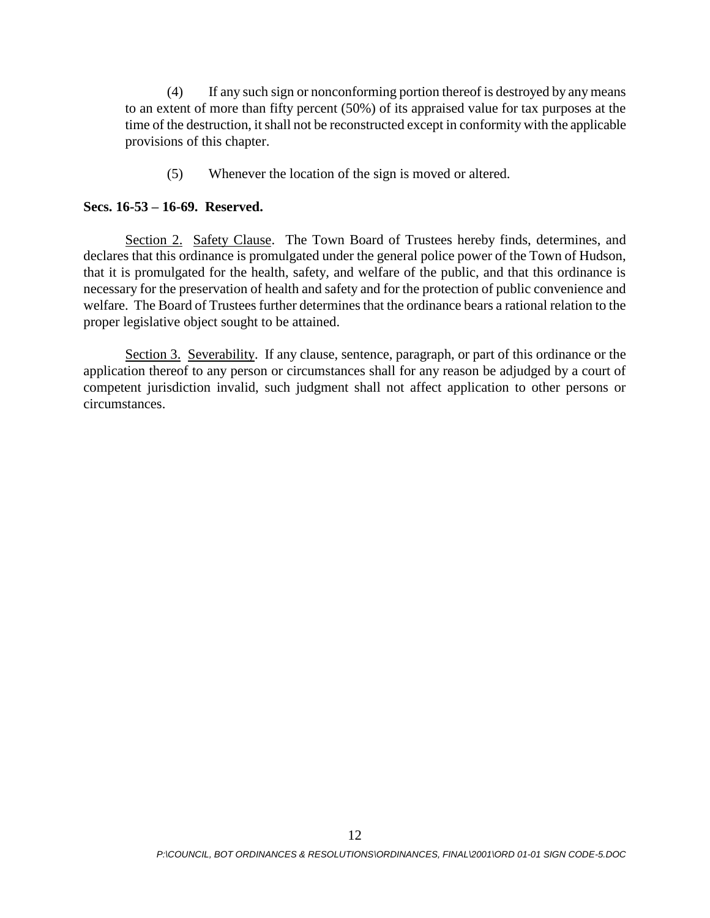(4) If any such sign or nonconforming portion thereof is destroyed by any means to an extent of more than fifty percent (50%) of its appraised value for tax purposes at the time of the destruction, it shall not be reconstructed except in conformity with the applicable provisions of this chapter.

(5) Whenever the location of the sign is moved or altered.

#### **Secs. 16-53 – 16-69. Reserved.**

Section 2. Safety Clause. The Town Board of Trustees hereby finds, determines, and declares that this ordinance is promulgated under the general police power of the Town of Hudson, that it is promulgated for the health, safety, and welfare of the public, and that this ordinance is necessary for the preservation of health and safety and for the protection of public convenience and welfare. The Board of Trustees further determines that the ordinance bears a rational relation to the proper legislative object sought to be attained.

Section 3. Severability. If any clause, sentence, paragraph, or part of this ordinance or the application thereof to any person or circumstances shall for any reason be adjudged by a court of competent jurisdiction invalid, such judgment shall not affect application to other persons or circumstances.